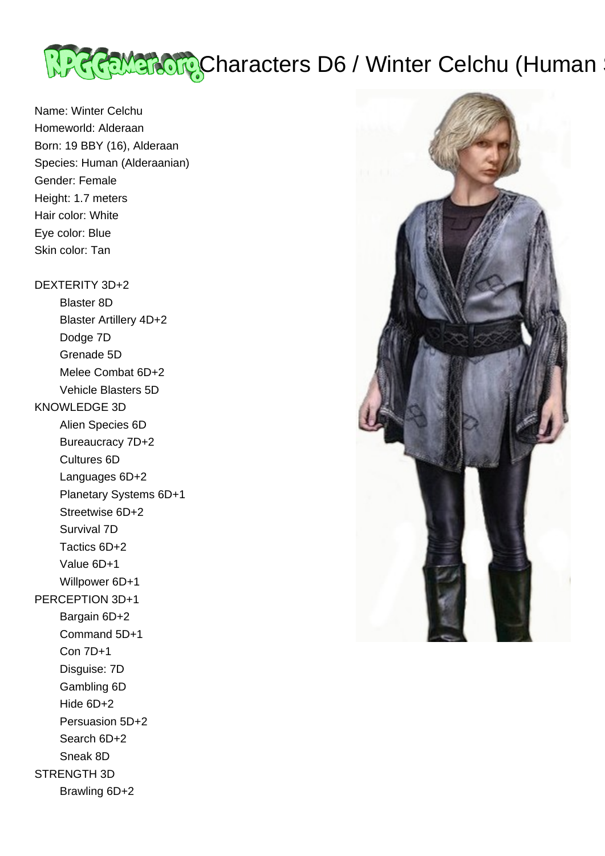

Name: Winter Celchu Homeworld: Alderaan Born: 19 BBY (16), Alderaan Species: Human (Alderaanian) Gender: Female Height: 1.7 meters Hair color: White Eye color: Blue Skin color: Tan

# DEXTERITY 3D+2

 Blaster 8D Blaster Artillery 4D+2 Dodge 7D Grenade 5D Melee Combat 6D+2 Vehicle Blasters 5D KNOWLEDGE 3D Alien Species 6D Bureaucracy 7D+2 Cultures 6D Languages 6D+2 Planetary Systems 6D+1 Streetwise 6D+2 Survival 7D Tactics 6D+2 Value 6D+1 Willpower 6D+1 PERCEPTION 3D+1 Bargain 6D+2 Command 5D+1 Con 7D+1 Disguise: 7D Gambling 6D Hide 6D+2 Persuasion 5D+2 Search 6D+2 Sneak 8D STRENGTH 3D Brawling 6D+2

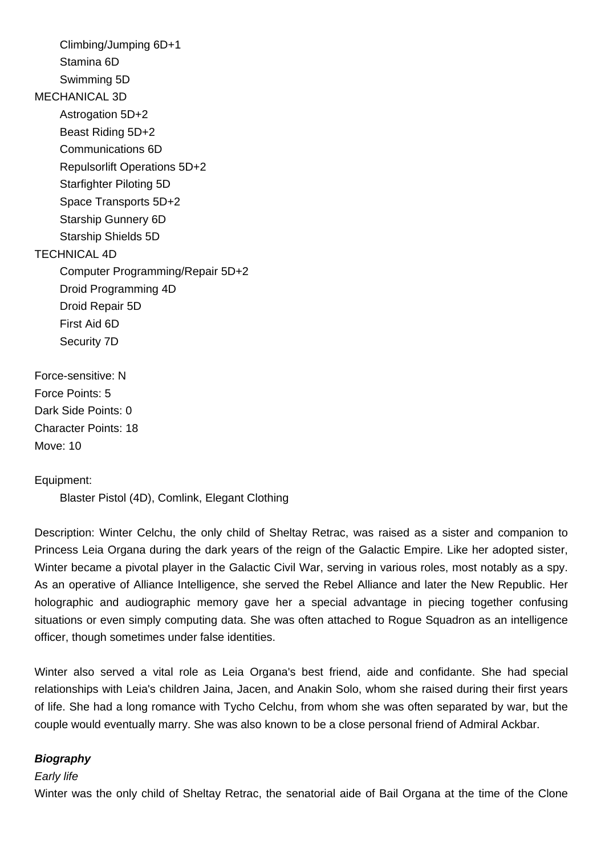Climbing/Jumping 6D+1 Stamina 6D Swimming 5D MECHANICAL 3D Astrogation 5D+2 Beast Riding 5D+2 Communications 6D Repulsorlift Operations 5D+2 Starfighter Piloting 5D Space Transports 5D+2 Starship Gunnery 6D Starship Shields 5D TECHNICAL 4D Computer Programming/Repair 5D+2 Droid Programming 4D Droid Repair 5D First Aid 6D Security 7D Force-sensitive: N Force Points: 5

Dark Side Points: 0 Character Points: 18 Move: 10

Equipment:

Blaster Pistol (4D), Comlink, Elegant Clothing

Description: Winter Celchu, the only child of Sheltay Retrac, was raised as a sister and companion to Princess Leia Organa during the dark years of the reign of the Galactic Empire. Like her adopted sister, Winter became a pivotal player in the Galactic Civil War, serving in various roles, most notably as a spy. As an operative of Alliance Intelligence, she served the Rebel Alliance and later the New Republic. Her holographic and audiographic memory gave her a special advantage in piecing together confusing situations or even simply computing data. She was often attached to Rogue Squadron as an intelligence officer, though sometimes under false identities.

Winter also served a vital role as Leia Organa's best friend, aide and confidante. She had special relationships with Leia's children Jaina, Jacen, and Anakin Solo, whom she raised during their first years of life. She had a long romance with Tycho Celchu, from whom she was often separated by war, but the couple would eventually marry. She was also known to be a close personal friend of Admiral Ackbar.

# **Biography**

## Early life

Winter was the only child of Sheltay Retrac, the senatorial aide of Bail Organa at the time of the Clone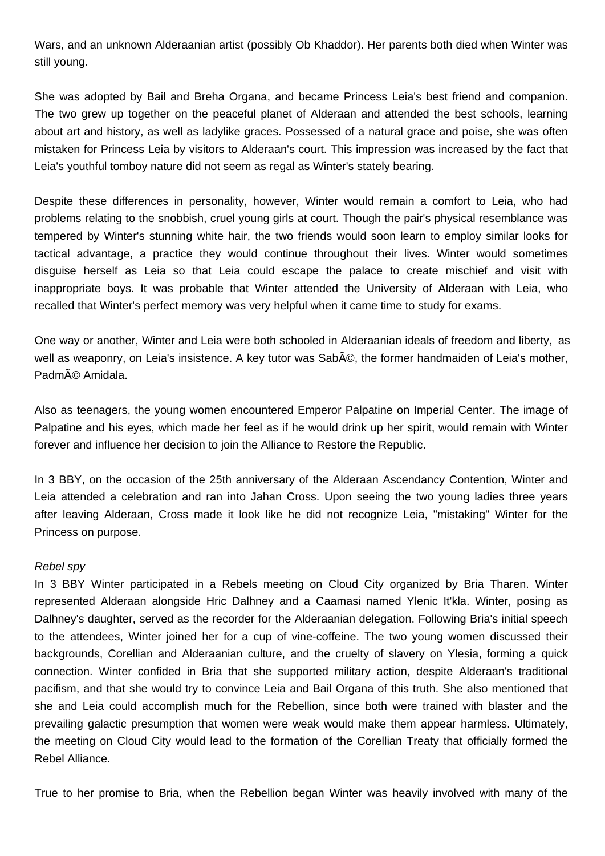Wars, and an unknown Alderaanian artist (possibly Ob Khaddor). Her parents both died when Winter was still young.

She was adopted by Bail and Breha Organa, and became Princess Leia's best friend and companion. The two grew up together on the peaceful planet of Alderaan and attended the best schools, learning about art and history, as well as ladylike graces. Possessed of a natural grace and poise, she was often mistaken for Princess Leia by visitors to Alderaan's court. This impression was increased by the fact that Leia's youthful tomboy nature did not seem as regal as Winter's stately bearing.

Despite these differences in personality, however, Winter would remain a comfort to Leia, who had problems relating to the snobbish, cruel young girls at court. Though the pair's physical resemblance was tempered by Winter's stunning white hair, the two friends would soon learn to employ similar looks for tactical advantage, a practice they would continue throughout their lives. Winter would sometimes disguise herself as Leia so that Leia could escape the palace to create mischief and visit with inappropriate boys. It was probable that Winter attended the University of Alderaan with Leia, who recalled that Winter's perfect memory was very helpful when it came time to study for exams.

One way or another, Winter and Leia were both schooled in Alderaanian ideals of freedom and liberty, as well as weaponry, on Leia's insistence. A key tutor was Sabé, the former handmaiden of Leia's mother, Padmé Amidala.

Also as teenagers, the young women encountered Emperor Palpatine on Imperial Center. The image of Palpatine and his eyes, which made her feel as if he would drink up her spirit, would remain with Winter forever and influence her decision to join the Alliance to Restore the Republic.

In 3 BBY, on the occasion of the 25th anniversary of the Alderaan Ascendancy Contention, Winter and Leia attended a celebration and ran into Jahan Cross. Upon seeing the two young ladies three years after leaving Alderaan, Cross made it look like he did not recognize Leia, "mistaking" Winter for the Princess on purpose.

#### Rebel spy

In 3 BBY Winter participated in a Rebels meeting on Cloud City organized by Bria Tharen. Winter represented Alderaan alongside Hric Dalhney and a Caamasi named Ylenic It'kla. Winter, posing as Dalhney's daughter, served as the recorder for the Alderaanian delegation. Following Bria's initial speech to the attendees, Winter joined her for a cup of vine-coffeine. The two young women discussed their backgrounds, Corellian and Alderaanian culture, and the cruelty of slavery on Ylesia, forming a quick connection. Winter confided in Bria that she supported military action, despite Alderaan's traditional pacifism, and that she would try to convince Leia and Bail Organa of this truth. She also mentioned that she and Leia could accomplish much for the Rebellion, since both were trained with blaster and the prevailing galactic presumption that women were weak would make them appear harmless. Ultimately, the meeting on Cloud City would lead to the formation of the Corellian Treaty that officially formed the Rebel Alliance.

True to her promise to Bria, when the Rebellion began Winter was heavily involved with many of the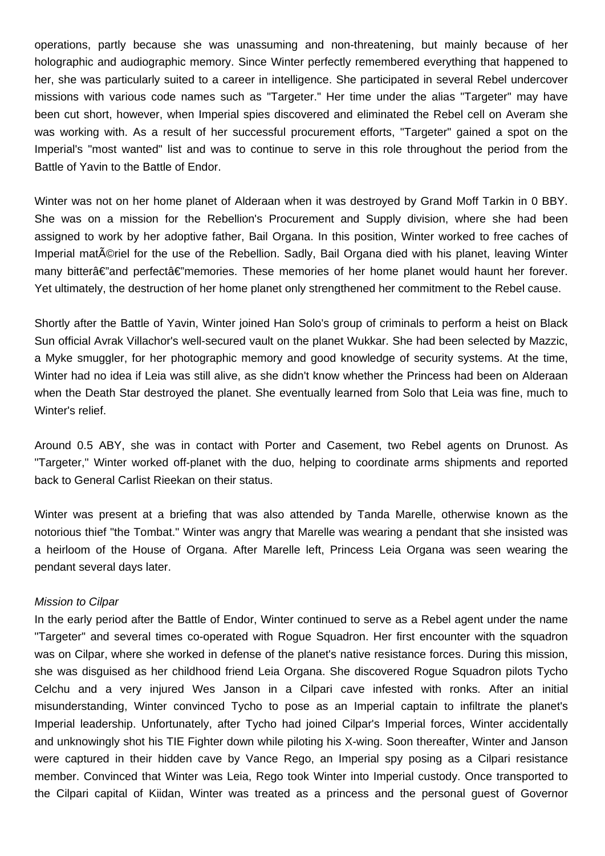operations, partly because she was unassuming and non-threatening, but mainly because of her holographic and audiographic memory. Since Winter perfectly remembered everything that happened to her, she was particularly suited to a career in intelligence. She participated in several Rebel undercover missions with various code names such as "Targeter." Her time under the alias "Targeter" may have been cut short, however, when Imperial spies discovered and eliminated the Rebel cell on Averam she was working with. As a result of her successful procurement efforts, "Targeter" gained a spot on the Imperial's "most wanted" list and was to continue to serve in this role throughout the period from the Battle of Yavin to the Battle of Endor.

Winter was not on her home planet of Alderaan when it was destroyed by Grand Moff Tarkin in 0 BBY. She was on a mission for the Rebellion's Procurement and Supply division, where she had been assigned to work by her adoptive father, Bail Organa. In this position, Winter worked to free caches of Imperial mat $\tilde{A}$ ©riel for the use of the Rebellion. Sadly, Bail Organa died with his planet, leaving Winter many bitterâ€"and perfectâ€"memories. These memories of her home planet would haunt her forever. Yet ultimately, the destruction of her home planet only strengthened her commitment to the Rebel cause.

Shortly after the Battle of Yavin, Winter joined Han Solo's group of criminals to perform a heist on Black Sun official Avrak Villachor's well-secured vault on the planet Wukkar. She had been selected by Mazzic, a Myke smuggler, for her photographic memory and good knowledge of security systems. At the time, Winter had no idea if Leia was still alive, as she didn't know whether the Princess had been on Alderaan when the Death Star destroyed the planet. She eventually learned from Solo that Leia was fine, much to Winter's relief.

Around 0.5 ABY, she was in contact with Porter and Casement, two Rebel agents on Drunost. As "Targeter," Winter worked off-planet with the duo, helping to coordinate arms shipments and reported back to General Carlist Rieekan on their status.

Winter was present at a briefing that was also attended by Tanda Marelle, otherwise known as the notorious thief "the Tombat." Winter was angry that Marelle was wearing a pendant that she insisted was a heirloom of the House of Organa. After Marelle left, Princess Leia Organa was seen wearing the pendant several days later.

#### Mission to Cilpar

In the early period after the Battle of Endor, Winter continued to serve as a Rebel agent under the name "Targeter" and several times co-operated with Rogue Squadron. Her first encounter with the squadron was on Cilpar, where she worked in defense of the planet's native resistance forces. During this mission, she was disguised as her childhood friend Leia Organa. She discovered Rogue Squadron pilots Tycho Celchu and a very injured Wes Janson in a Cilpari cave infested with ronks. After an initial misunderstanding, Winter convinced Tycho to pose as an Imperial captain to infiltrate the planet's Imperial leadership. Unfortunately, after Tycho had joined Cilpar's Imperial forces, Winter accidentally and unknowingly shot his TIE Fighter down while piloting his X-wing. Soon thereafter, Winter and Janson were captured in their hidden cave by Vance Rego, an Imperial spy posing as a Cilpari resistance member. Convinced that Winter was Leia, Rego took Winter into Imperial custody. Once transported to the Cilpari capital of Kiidan, Winter was treated as a princess and the personal guest of Governor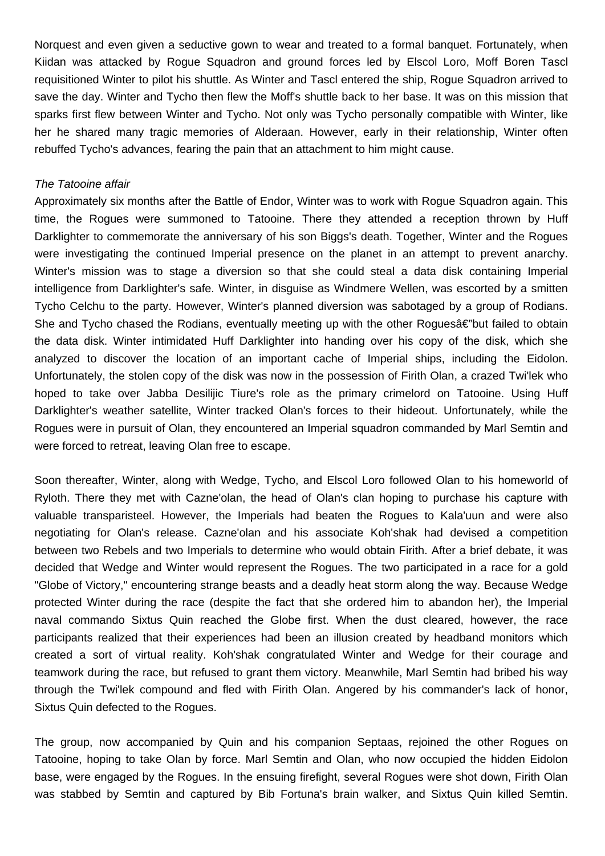Norquest and even given a seductive gown to wear and treated to a formal banquet. Fortunately, when Kiidan was attacked by Rogue Squadron and ground forces led by Elscol Loro, Moff Boren Tascl requisitioned Winter to pilot his shuttle. As Winter and Tascl entered the ship, Rogue Squadron arrived to save the day. Winter and Tycho then flew the Moff's shuttle back to her base. It was on this mission that sparks first flew between Winter and Tycho. Not only was Tycho personally compatible with Winter, like her he shared many tragic memories of Alderaan. However, early in their relationship, Winter often rebuffed Tycho's advances, fearing the pain that an attachment to him might cause.

#### The Tatooine affair

Approximately six months after the Battle of Endor, Winter was to work with Rogue Squadron again. This time, the Rogues were summoned to Tatooine. There they attended a reception thrown by Huff Darklighter to commemorate the anniversary of his son Biggs's death. Together, Winter and the Rogues were investigating the continued Imperial presence on the planet in an attempt to prevent anarchy. Winter's mission was to stage a diversion so that she could steal a data disk containing Imperial intelligence from Darklighter's safe. Winter, in disguise as Windmere Wellen, was escorted by a smitten Tycho Celchu to the party. However, Winter's planned diversion was sabotaged by a group of Rodians. She and Tycho chased the Rodians, eventually meeting up with the other Roques $a \in \mathbb{Z}$  but failed to obtain the data disk. Winter intimidated Huff Darklighter into handing over his copy of the disk, which she analyzed to discover the location of an important cache of Imperial ships, including the Eidolon. Unfortunately, the stolen copy of the disk was now in the possession of Firith Olan, a crazed Twi'lek who hoped to take over Jabba Desilijic Tiure's role as the primary crimelord on Tatooine. Using Huff Darklighter's weather satellite, Winter tracked Olan's forces to their hideout. Unfortunately, while the Rogues were in pursuit of Olan, they encountered an Imperial squadron commanded by Marl Semtin and were forced to retreat, leaving Olan free to escape.

Soon thereafter, Winter, along with Wedge, Tycho, and Elscol Loro followed Olan to his homeworld of Ryloth. There they met with Cazne'olan, the head of Olan's clan hoping to purchase his capture with valuable transparisteel. However, the Imperials had beaten the Rogues to Kala'uun and were also negotiating for Olan's release. Cazne'olan and his associate Koh'shak had devised a competition between two Rebels and two Imperials to determine who would obtain Firith. After a brief debate, it was decided that Wedge and Winter would represent the Rogues. The two participated in a race for a gold "Globe of Victory," encountering strange beasts and a deadly heat storm along the way. Because Wedge protected Winter during the race (despite the fact that she ordered him to abandon her), the Imperial naval commando Sixtus Quin reached the Globe first. When the dust cleared, however, the race participants realized that their experiences had been an illusion created by headband monitors which created a sort of virtual reality. Koh'shak congratulated Winter and Wedge for their courage and teamwork during the race, but refused to grant them victory. Meanwhile, Marl Semtin had bribed his way through the Twi'lek compound and fled with Firith Olan. Angered by his commander's lack of honor, Sixtus Quin defected to the Rogues.

The group, now accompanied by Quin and his companion Septaas, rejoined the other Rogues on Tatooine, hoping to take Olan by force. Marl Semtin and Olan, who now occupied the hidden Eidolon base, were engaged by the Rogues. In the ensuing firefight, several Rogues were shot down, Firith Olan was stabbed by Semtin and captured by Bib Fortuna's brain walker, and Sixtus Quin killed Semtin.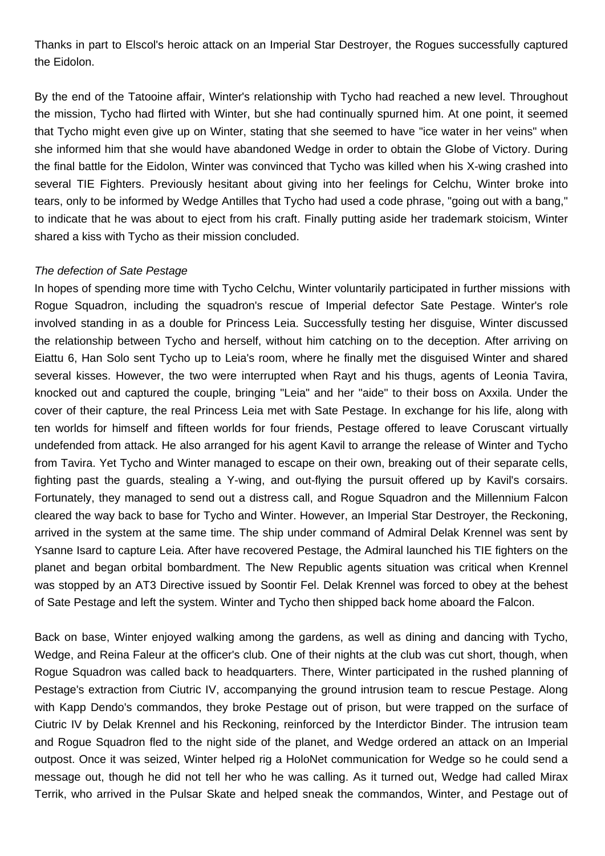Thanks in part to Elscol's heroic attack on an Imperial Star Destroyer, the Rogues successfully captured the Eidolon.

By the end of the Tatooine affair, Winter's relationship with Tycho had reached a new level. Throughout the mission, Tycho had flirted with Winter, but she had continually spurned him. At one point, it seemed that Tycho might even give up on Winter, stating that she seemed to have "ice water in her veins" when she informed him that she would have abandoned Wedge in order to obtain the Globe of Victory. During the final battle for the Eidolon, Winter was convinced that Tycho was killed when his X-wing crashed into several TIE Fighters. Previously hesitant about giving into her feelings for Celchu, Winter broke into tears, only to be informed by Wedge Antilles that Tycho had used a code phrase, "going out with a bang," to indicate that he was about to eject from his craft. Finally putting aside her trademark stoicism, Winter shared a kiss with Tycho as their mission concluded.

## The defection of Sate Pestage

In hopes of spending more time with Tycho Celchu, Winter voluntarily participated in further missions with Rogue Squadron, including the squadron's rescue of Imperial defector Sate Pestage. Winter's role involved standing in as a double for Princess Leia. Successfully testing her disguise, Winter discussed the relationship between Tycho and herself, without him catching on to the deception. After arriving on Eiattu 6, Han Solo sent Tycho up to Leia's room, where he finally met the disguised Winter and shared several kisses. However, the two were interrupted when Rayt and his thugs, agents of Leonia Tavira, knocked out and captured the couple, bringing "Leia" and her "aide" to their boss on Axxila. Under the cover of their capture, the real Princess Leia met with Sate Pestage. In exchange for his life, along with ten worlds for himself and fifteen worlds for four friends, Pestage offered to leave Coruscant virtually undefended from attack. He also arranged for his agent Kavil to arrange the release of Winter and Tycho from Tavira. Yet Tycho and Winter managed to escape on their own, breaking out of their separate cells, fighting past the guards, stealing a Y-wing, and out-flying the pursuit offered up by Kavil's corsairs. Fortunately, they managed to send out a distress call, and Rogue Squadron and the Millennium Falcon cleared the way back to base for Tycho and Winter. However, an Imperial Star Destroyer, the Reckoning, arrived in the system at the same time. The ship under command of Admiral Delak Krennel was sent by Ysanne Isard to capture Leia. After have recovered Pestage, the Admiral launched his TIE fighters on the planet and began orbital bombardment. The New Republic agents situation was critical when Krennel was stopped by an AT3 Directive issued by Soontir Fel. Delak Krennel was forced to obey at the behest of Sate Pestage and left the system. Winter and Tycho then shipped back home aboard the Falcon.

Back on base, Winter enjoyed walking among the gardens, as well as dining and dancing with Tycho, Wedge, and Reina Faleur at the officer's club. One of their nights at the club was cut short, though, when Rogue Squadron was called back to headquarters. There, Winter participated in the rushed planning of Pestage's extraction from Ciutric IV, accompanying the ground intrusion team to rescue Pestage. Along with Kapp Dendo's commandos, they broke Pestage out of prison, but were trapped on the surface of Ciutric IV by Delak Krennel and his Reckoning, reinforced by the Interdictor Binder. The intrusion team and Rogue Squadron fled to the night side of the planet, and Wedge ordered an attack on an Imperial outpost. Once it was seized, Winter helped rig a HoloNet communication for Wedge so he could send a message out, though he did not tell her who he was calling. As it turned out, Wedge had called Mirax Terrik, who arrived in the Pulsar Skate and helped sneak the commandos, Winter, and Pestage out of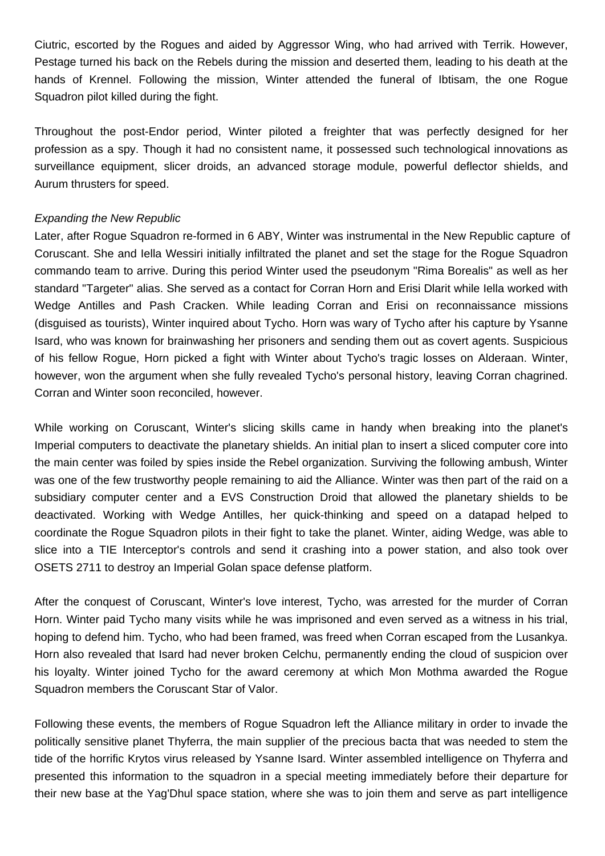Ciutric, escorted by the Rogues and aided by Aggressor Wing, who had arrived with Terrik. However, Pestage turned his back on the Rebels during the mission and deserted them, leading to his death at the hands of Krennel. Following the mission, Winter attended the funeral of Ibtisam, the one Rogue Squadron pilot killed during the fight.

Throughout the post-Endor period, Winter piloted a freighter that was perfectly designed for her profession as a spy. Though it had no consistent name, it possessed such technological innovations as surveillance equipment, slicer droids, an advanced storage module, powerful deflector shields, and Aurum thrusters for speed.

## Expanding the New Republic

Later, after Rogue Squadron re-formed in 6 ABY, Winter was instrumental in the New Republic capture of Coruscant. She and Iella Wessiri initially infiltrated the planet and set the stage for the Rogue Squadron commando team to arrive. During this period Winter used the pseudonym "Rima Borealis" as well as her standard "Targeter" alias. She served as a contact for Corran Horn and Erisi Dlarit while Iella worked with Wedge Antilles and Pash Cracken. While leading Corran and Erisi on reconnaissance missions (disguised as tourists), Winter inquired about Tycho. Horn was wary of Tycho after his capture by Ysanne Isard, who was known for brainwashing her prisoners and sending them out as covert agents. Suspicious of his fellow Rogue, Horn picked a fight with Winter about Tycho's tragic losses on Alderaan. Winter, however, won the argument when she fully revealed Tycho's personal history, leaving Corran chagrined. Corran and Winter soon reconciled, however.

While working on Coruscant, Winter's slicing skills came in handy when breaking into the planet's Imperial computers to deactivate the planetary shields. An initial plan to insert a sliced computer core into the main center was foiled by spies inside the Rebel organization. Surviving the following ambush, Winter was one of the few trustworthy people remaining to aid the Alliance. Winter was then part of the raid on a subsidiary computer center and a EVS Construction Droid that allowed the planetary shields to be deactivated. Working with Wedge Antilles, her quick-thinking and speed on a datapad helped to coordinate the Rogue Squadron pilots in their fight to take the planet. Winter, aiding Wedge, was able to slice into a TIE Interceptor's controls and send it crashing into a power station, and also took over OSETS 2711 to destroy an Imperial Golan space defense platform.

After the conquest of Coruscant, Winter's love interest, Tycho, was arrested for the murder of Corran Horn. Winter paid Tycho many visits while he was imprisoned and even served as a witness in his trial, hoping to defend him. Tycho, who had been framed, was freed when Corran escaped from the Lusankya. Horn also revealed that Isard had never broken Celchu, permanently ending the cloud of suspicion over his loyalty. Winter joined Tycho for the award ceremony at which Mon Mothma awarded the Rogue Squadron members the Coruscant Star of Valor.

Following these events, the members of Rogue Squadron left the Alliance military in order to invade the politically sensitive planet Thyferra, the main supplier of the precious bacta that was needed to stem the tide of the horrific Krytos virus released by Ysanne Isard. Winter assembled intelligence on Thyferra and presented this information to the squadron in a special meeting immediately before their departure for their new base at the Yag'Dhul space station, where she was to join them and serve as part intelligence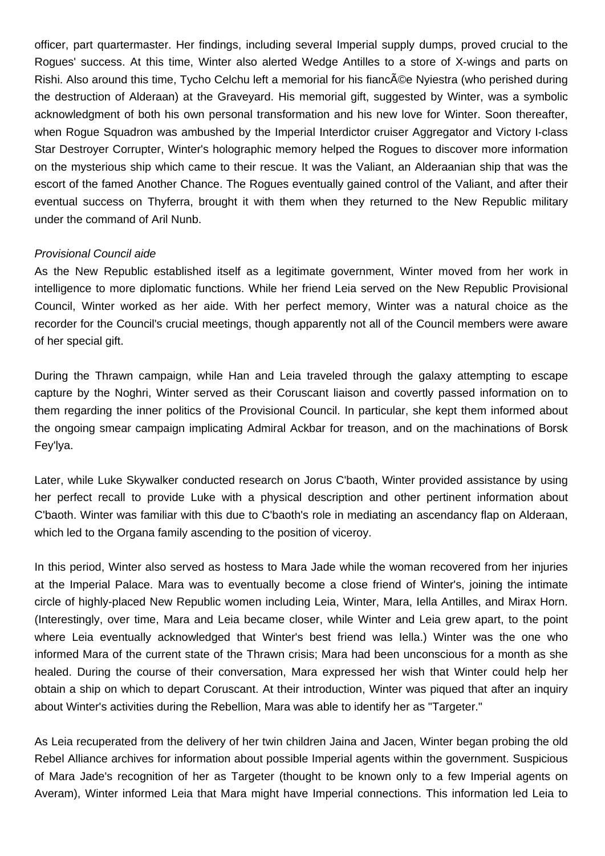officer, part quartermaster. Her findings, including several Imperial supply dumps, proved crucial to the Rogues' success. At this time, Winter also alerted Wedge Antilles to a store of X-wings and parts on Rishi. Also around this time, Tycho Celchu left a memorial for his fianc $\tilde{A}$ ©e Nyiestra (who perished during the destruction of Alderaan) at the Graveyard. His memorial gift, suggested by Winter, was a symbolic acknowledgment of both his own personal transformation and his new love for Winter. Soon thereafter, when Rogue Squadron was ambushed by the Imperial Interdictor cruiser Aggregator and Victory I-class Star Destroyer Corrupter, Winter's holographic memory helped the Rogues to discover more information on the mysterious ship which came to their rescue. It was the Valiant, an Alderaanian ship that was the escort of the famed Another Chance. The Rogues eventually gained control of the Valiant, and after their eventual success on Thyferra, brought it with them when they returned to the New Republic military under the command of Aril Nunb.

#### Provisional Council aide

As the New Republic established itself as a legitimate government, Winter moved from her work in intelligence to more diplomatic functions. While her friend Leia served on the New Republic Provisional Council, Winter worked as her aide. With her perfect memory, Winter was a natural choice as the recorder for the Council's crucial meetings, though apparently not all of the Council members were aware of her special gift.

During the Thrawn campaign, while Han and Leia traveled through the galaxy attempting to escape capture by the Noghri, Winter served as their Coruscant liaison and covertly passed information on to them regarding the inner politics of the Provisional Council. In particular, she kept them informed about the ongoing smear campaign implicating Admiral Ackbar for treason, and on the machinations of Borsk Fey'lya.

Later, while Luke Skywalker conducted research on Jorus C'baoth, Winter provided assistance by using her perfect recall to provide Luke with a physical description and other pertinent information about C'baoth. Winter was familiar with this due to C'baoth's role in mediating an ascendancy flap on Alderaan, which led to the Organa family ascending to the position of viceroy.

In this period, Winter also served as hostess to Mara Jade while the woman recovered from her injuries at the Imperial Palace. Mara was to eventually become a close friend of Winter's, joining the intimate circle of highly-placed New Republic women including Leia, Winter, Mara, Iella Antilles, and Mirax Horn. (Interestingly, over time, Mara and Leia became closer, while Winter and Leia grew apart, to the point where Leia eventually acknowledged that Winter's best friend was Iella.) Winter was the one who informed Mara of the current state of the Thrawn crisis; Mara had been unconscious for a month as she healed. During the course of their conversation, Mara expressed her wish that Winter could help her obtain a ship on which to depart Coruscant. At their introduction, Winter was piqued that after an inquiry about Winter's activities during the Rebellion, Mara was able to identify her as "Targeter."

As Leia recuperated from the delivery of her twin children Jaina and Jacen, Winter began probing the old Rebel Alliance archives for information about possible Imperial agents within the government. Suspicious of Mara Jade's recognition of her as Targeter (thought to be known only to a few Imperial agents on Averam), Winter informed Leia that Mara might have Imperial connections. This information led Leia to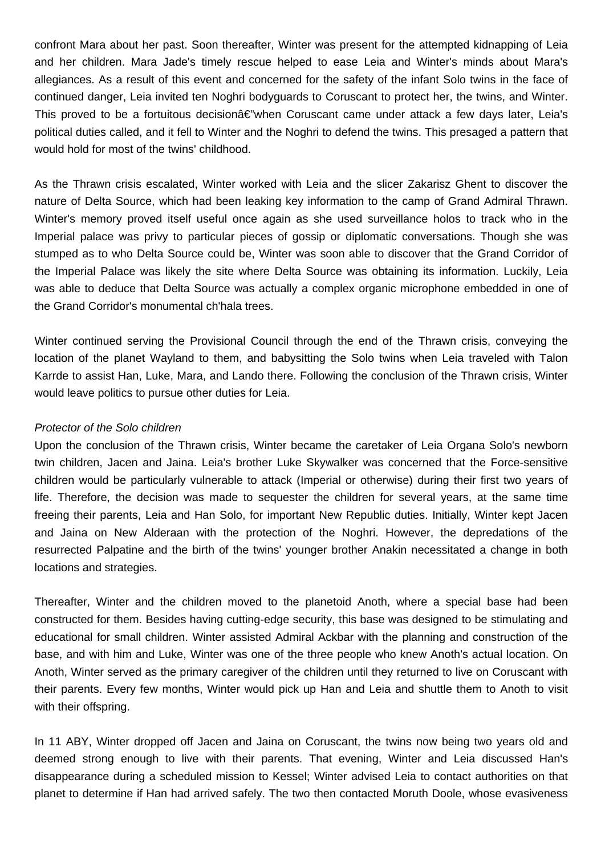confront Mara about her past. Soon thereafter, Winter was present for the attempted kidnapping of Leia and her children. Mara Jade's timely rescue helped to ease Leia and Winter's minds about Mara's allegiances. As a result of this event and concerned for the safety of the infant Solo twins in the face of continued danger, Leia invited ten Noghri bodyguards to Coruscant to protect her, the twins, and Winter. This proved to be a fortuitous decision $\hat{\alpha} \in \hat{\mathbb{Z}}$  when Coruscant came under attack a few days later, Leia's political duties called, and it fell to Winter and the Noghri to defend the twins. This presaged a pattern that would hold for most of the twins' childhood.

As the Thrawn crisis escalated, Winter worked with Leia and the slicer Zakarisz Ghent to discover the nature of Delta Source, which had been leaking key information to the camp of Grand Admiral Thrawn. Winter's memory proved itself useful once again as she used surveillance holos to track who in the Imperial palace was privy to particular pieces of gossip or diplomatic conversations. Though she was stumped as to who Delta Source could be, Winter was soon able to discover that the Grand Corridor of the Imperial Palace was likely the site where Delta Source was obtaining its information. Luckily, Leia was able to deduce that Delta Source was actually a complex organic microphone embedded in one of the Grand Corridor's monumental ch'hala trees.

Winter continued serving the Provisional Council through the end of the Thrawn crisis, conveying the location of the planet Wayland to them, and babysitting the Solo twins when Leia traveled with Talon Karrde to assist Han, Luke, Mara, and Lando there. Following the conclusion of the Thrawn crisis, Winter would leave politics to pursue other duties for Leia.

#### Protector of the Solo children

Upon the conclusion of the Thrawn crisis, Winter became the caretaker of Leia Organa Solo's newborn twin children, Jacen and Jaina. Leia's brother Luke Skywalker was concerned that the Force-sensitive children would be particularly vulnerable to attack (Imperial or otherwise) during their first two years of life. Therefore, the decision was made to sequester the children for several years, at the same time freeing their parents, Leia and Han Solo, for important New Republic duties. Initially, Winter kept Jacen and Jaina on New Alderaan with the protection of the Noghri. However, the depredations of the resurrected Palpatine and the birth of the twins' younger brother Anakin necessitated a change in both locations and strategies.

Thereafter, Winter and the children moved to the planetoid Anoth, where a special base had been constructed for them. Besides having cutting-edge security, this base was designed to be stimulating and educational for small children. Winter assisted Admiral Ackbar with the planning and construction of the base, and with him and Luke, Winter was one of the three people who knew Anoth's actual location. On Anoth, Winter served as the primary caregiver of the children until they returned to live on Coruscant with their parents. Every few months, Winter would pick up Han and Leia and shuttle them to Anoth to visit with their offspring.

In 11 ABY, Winter dropped off Jacen and Jaina on Coruscant, the twins now being two years old and deemed strong enough to live with their parents. That evening, Winter and Leia discussed Han's disappearance during a scheduled mission to Kessel; Winter advised Leia to contact authorities on that planet to determine if Han had arrived safely. The two then contacted Moruth Doole, whose evasiveness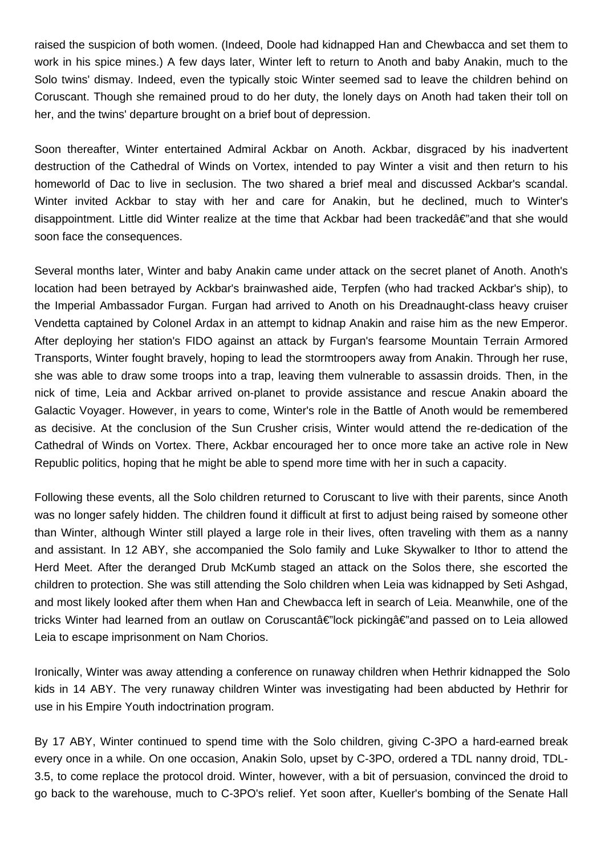raised the suspicion of both women. (Indeed, Doole had kidnapped Han and Chewbacca and set them to work in his spice mines.) A few days later, Winter left to return to Anoth and baby Anakin, much to the Solo twins' dismay. Indeed, even the typically stoic Winter seemed sad to leave the children behind on Coruscant. Though she remained proud to do her duty, the lonely days on Anoth had taken their toll on her, and the twins' departure brought on a brief bout of depression.

Soon thereafter, Winter entertained Admiral Ackbar on Anoth. Ackbar, disgraced by his inadvertent destruction of the Cathedral of Winds on Vortex, intended to pay Winter a visit and then return to his homeworld of Dac to live in seclusion. The two shared a brief meal and discussed Ackbar's scandal. Winter invited Ackbar to stay with her and care for Anakin, but he declined, much to Winter's disappointment. Little did Winter realize at the time that Ackbar had been trackedâ€"and that she would soon face the consequences.

Several months later, Winter and baby Anakin came under attack on the secret planet of Anoth. Anoth's location had been betrayed by Ackbar's brainwashed aide, Terpfen (who had tracked Ackbar's ship), to the Imperial Ambassador Furgan. Furgan had arrived to Anoth on his Dreadnaught-class heavy cruiser Vendetta captained by Colonel Ardax in an attempt to kidnap Anakin and raise him as the new Emperor. After deploying her station's FIDO against an attack by Furgan's fearsome Mountain Terrain Armored Transports, Winter fought bravely, hoping to lead the stormtroopers away from Anakin. Through her ruse, she was able to draw some troops into a trap, leaving them vulnerable to assassin droids. Then, in the nick of time, Leia and Ackbar arrived on-planet to provide assistance and rescue Anakin aboard the Galactic Voyager. However, in years to come, Winter's role in the Battle of Anoth would be remembered as decisive. At the conclusion of the Sun Crusher crisis, Winter would attend the re-dedication of the Cathedral of Winds on Vortex. There, Ackbar encouraged her to once more take an active role in New Republic politics, hoping that he might be able to spend more time with her in such a capacity.

Following these events, all the Solo children returned to Coruscant to live with their parents, since Anoth was no longer safely hidden. The children found it difficult at first to adjust being raised by someone other than Winter, although Winter still played a large role in their lives, often traveling with them as a nanny and assistant. In 12 ABY, she accompanied the Solo family and Luke Skywalker to Ithor to attend the Herd Meet. After the deranged Drub McKumb staged an attack on the Solos there, she escorted the children to protection. She was still attending the Solo children when Leia was kidnapped by Seti Ashgad, and most likely looked after them when Han and Chewbacca left in search of Leia. Meanwhile, one of the tricks Winter had learned from an outlaw on Coruscantâ€"lock pickingâ€"and passed on to Leia allowed Leia to escape imprisonment on Nam Chorios.

Ironically, Winter was away attending a conference on runaway children when Hethrir kidnapped the Solo kids in 14 ABY. The very runaway children Winter was investigating had been abducted by Hethrir for use in his Empire Youth indoctrination program.

By 17 ABY, Winter continued to spend time with the Solo children, giving C-3PO a hard-earned break every once in a while. On one occasion, Anakin Solo, upset by C-3PO, ordered a TDL nanny droid, TDL-3.5, to come replace the protocol droid. Winter, however, with a bit of persuasion, convinced the droid to go back to the warehouse, much to C-3PO's relief. Yet soon after, Kueller's bombing of the Senate Hall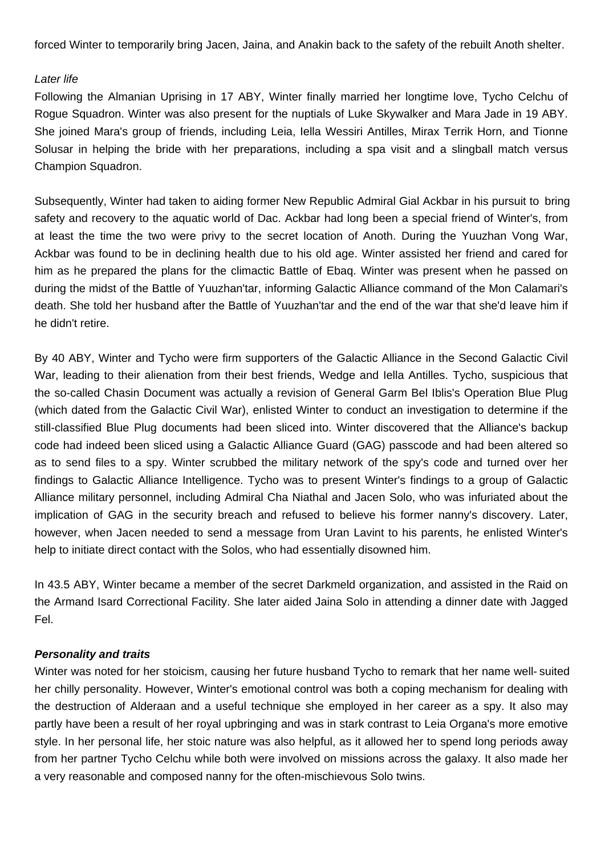forced Winter to temporarily bring Jacen, Jaina, and Anakin back to the safety of the rebuilt Anoth shelter.

## Later life

Following the Almanian Uprising in 17 ABY, Winter finally married her longtime love, Tycho Celchu of Rogue Squadron. Winter was also present for the nuptials of Luke Skywalker and Mara Jade in 19 ABY. She joined Mara's group of friends, including Leia, Iella Wessiri Antilles, Mirax Terrik Horn, and Tionne Solusar in helping the bride with her preparations, including a spa visit and a slingball match versus Champion Squadron.

Subsequently, Winter had taken to aiding former New Republic Admiral Gial Ackbar in his pursuit to bring safety and recovery to the aquatic world of Dac. Ackbar had long been a special friend of Winter's, from at least the time the two were privy to the secret location of Anoth. During the Yuuzhan Vong War, Ackbar was found to be in declining health due to his old age. Winter assisted her friend and cared for him as he prepared the plans for the climactic Battle of Ebaq. Winter was present when he passed on during the midst of the Battle of Yuuzhan'tar, informing Galactic Alliance command of the Mon Calamari's death. She told her husband after the Battle of Yuuzhan'tar and the end of the war that she'd leave him if he didn't retire.

By 40 ABY, Winter and Tycho were firm supporters of the Galactic Alliance in the Second Galactic Civil War, leading to their alienation from their best friends, Wedge and Iella Antilles. Tycho, suspicious that the so-called Chasin Document was actually a revision of General Garm Bel Iblis's Operation Blue Plug (which dated from the Galactic Civil War), enlisted Winter to conduct an investigation to determine if the still-classified Blue Plug documents had been sliced into. Winter discovered that the Alliance's backup code had indeed been sliced using a Galactic Alliance Guard (GAG) passcode and had been altered so as to send files to a spy. Winter scrubbed the military network of the spy's code and turned over her findings to Galactic Alliance Intelligence. Tycho was to present Winter's findings to a group of Galactic Alliance military personnel, including Admiral Cha Niathal and Jacen Solo, who was infuriated about the implication of GAG in the security breach and refused to believe his former nanny's discovery. Later, however, when Jacen needed to send a message from Uran Lavint to his parents, he enlisted Winter's help to initiate direct contact with the Solos, who had essentially disowned him.

In 43.5 ABY, Winter became a member of the secret Darkmeld organization, and assisted in the Raid on the Armand Isard Correctional Facility. She later aided Jaina Solo in attending a dinner date with Jagged Fel.

## **Personality and traits**

Winter was noted for her stoicism, causing her future husband Tycho to remark that her name well- suited her chilly personality. However, Winter's emotional control was both a coping mechanism for dealing with the destruction of Alderaan and a useful technique she employed in her career as a spy. It also may partly have been a result of her royal upbringing and was in stark contrast to Leia Organa's more emotive style. In her personal life, her stoic nature was also helpful, as it allowed her to spend long periods away from her partner Tycho Celchu while both were involved on missions across the galaxy. It also made her a very reasonable and composed nanny for the often-mischievous Solo twins.